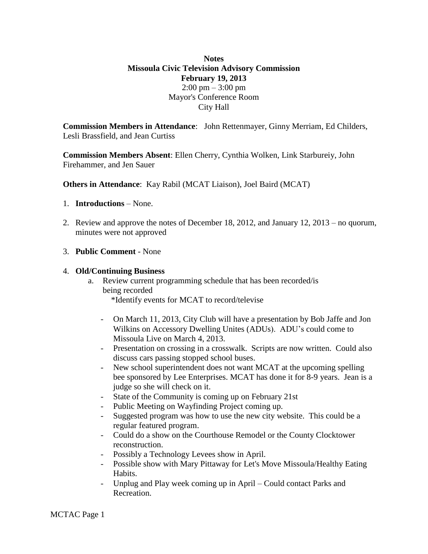## **Notes Missoula Civic Television Advisory Commission February 19, 2013**  $2:00 \text{ pm} - 3:00 \text{ pm}$ Mayor's Conference Room City Hall

**Commission Members in Attendance**: John Rettenmayer, Ginny Merriam, Ed Childers, Lesli Brassfield, and Jean Curtiss

**Commission Members Absent**: Ellen Cherry, Cynthia Wolken, Link Starbureiy, John Firehammer, and Jen Sauer

**Others in Attendance**: Kay Rabil (MCAT Liaison), Joel Baird (MCAT)

- 1. **Introductions** None.
- 2. Review and approve the notes of December 18, 2012, and January 12, 2013 no quorum, minutes were not approved
- 3. **Public Comment** None

## 4. **Old/Continuing Business**

- a. Review current programming schedule that has been recorded/is being recorded \*Identify events for MCAT to record/televise
	- On March 11, 2013, City Club will have a presentation by Bob Jaffe and Jon Wilkins on Accessory Dwelling Unites (ADUs). ADU's could come to Missoula Live on March 4, 2013.
	- Presentation on crossing in a crosswalk. Scripts are now written. Could also discuss cars passing stopped school buses.
	- New school superintendent does not want MCAT at the upcoming spelling bee sponsored by Lee Enterprises. MCAT has done it for 8-9 years. Jean is a judge so she will check on it.
	- State of the Community is coming up on February 21st
	- Public Meeting on Wayfinding Project coming up.
	- Suggested program was how to use the new city website. This could be a regular featured program.
	- Could do a show on the Courthouse Remodel or the County Clocktower reconstruction.
	- Possibly a Technology Levees show in April.
	- Possible show with Mary Pittaway for Let's Move Missoula/Healthy Eating Habits.
	- Unplug and Play week coming up in April Could contact Parks and Recreation.

MCTAC Page 1